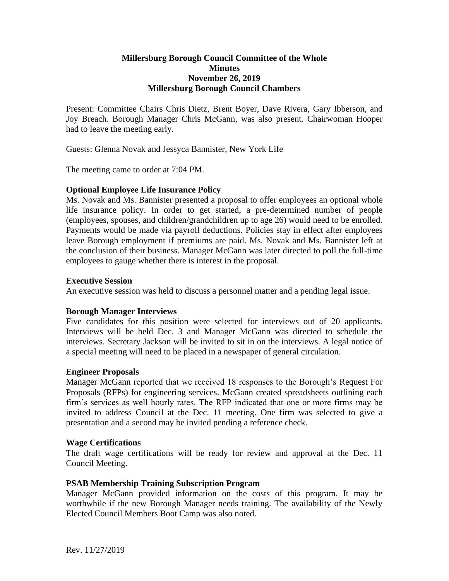# **Millersburg Borough Council Committee of the Whole Minutes November 26, 2019 Millersburg Borough Council Chambers**

Present: Committee Chairs Chris Dietz, Brent Boyer, Dave Rivera, Gary Ibberson, and Joy Breach. Borough Manager Chris McGann, was also present. Chairwoman Hooper had to leave the meeting early.

Guests: Glenna Novak and Jessyca Bannister, New York Life

The meeting came to order at 7:04 PM.

# **Optional Employee Life Insurance Policy**

Ms. Novak and Ms. Bannister presented a proposal to offer employees an optional whole life insurance policy. In order to get started, a pre-determined number of people (employees, spouses, and children/grandchildren up to age 26) would need to be enrolled. Payments would be made via payroll deductions. Policies stay in effect after employees leave Borough employment if premiums are paid. Ms. Novak and Ms. Bannister left at the conclusion of their business. Manager McGann was later directed to poll the full-time employees to gauge whether there is interest in the proposal.

# **Executive Session**

An executive session was held to discuss a personnel matter and a pending legal issue.

# **Borough Manager Interviews**

Five candidates for this position were selected for interviews out of 20 applicants. Interviews will be held Dec. 3 and Manager McGann was directed to schedule the interviews. Secretary Jackson will be invited to sit in on the interviews. A legal notice of a special meeting will need to be placed in a newspaper of general circulation.

# **Engineer Proposals**

Manager McGann reported that we received 18 responses to the Borough's Request For Proposals (RFPs) for engineering services. McGann created spreadsheets outlining each firm's services as well hourly rates. The RFP indicated that one or more firms may be invited to address Council at the Dec. 11 meeting. One firm was selected to give a presentation and a second may be invited pending a reference check.

# **Wage Certifications**

The draft wage certifications will be ready for review and approval at the Dec. 11 Council Meeting.

# **PSAB Membership Training Subscription Program**

Manager McGann provided information on the costs of this program. It may be worthwhile if the new Borough Manager needs training. The availability of the Newly Elected Council Members Boot Camp was also noted.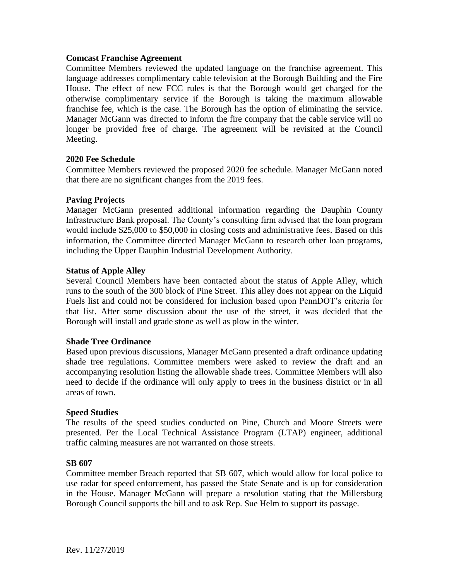# **Comcast Franchise Agreement**

Committee Members reviewed the updated language on the franchise agreement. This language addresses complimentary cable television at the Borough Building and the Fire House. The effect of new FCC rules is that the Borough would get charged for the otherwise complimentary service if the Borough is taking the maximum allowable franchise fee, which is the case. The Borough has the option of eliminating the service. Manager McGann was directed to inform the fire company that the cable service will no longer be provided free of charge. The agreement will be revisited at the Council Meeting.

# **2020 Fee Schedule**

Committee Members reviewed the proposed 2020 fee schedule. Manager McGann noted that there are no significant changes from the 2019 fees.

### **Paving Projects**

Manager McGann presented additional information regarding the Dauphin County Infrastructure Bank proposal. The County's consulting firm advised that the loan program would include \$25,000 to \$50,000 in closing costs and administrative fees. Based on this information, the Committee directed Manager McGann to research other loan programs, including the Upper Dauphin Industrial Development Authority.

### **Status of Apple Alley**

Several Council Members have been contacted about the status of Apple Alley, which runs to the south of the 300 block of Pine Street. This alley does not appear on the Liquid Fuels list and could not be considered for inclusion based upon PennDOT's criteria for that list. After some discussion about the use of the street, it was decided that the Borough will install and grade stone as well as plow in the winter.

#### **Shade Tree Ordinance**

Based upon previous discussions, Manager McGann presented a draft ordinance updating shade tree regulations. Committee members were asked to review the draft and an accompanying resolution listing the allowable shade trees. Committee Members will also need to decide if the ordinance will only apply to trees in the business district or in all areas of town.

#### **Speed Studies**

The results of the speed studies conducted on Pine, Church and Moore Streets were presented. Per the Local Technical Assistance Program (LTAP) engineer, additional traffic calming measures are not warranted on those streets.

#### **SB 607**

Committee member Breach reported that SB 607, which would allow for local police to use radar for speed enforcement, has passed the State Senate and is up for consideration in the House. Manager McGann will prepare a resolution stating that the Millersburg Borough Council supports the bill and to ask Rep. Sue Helm to support its passage.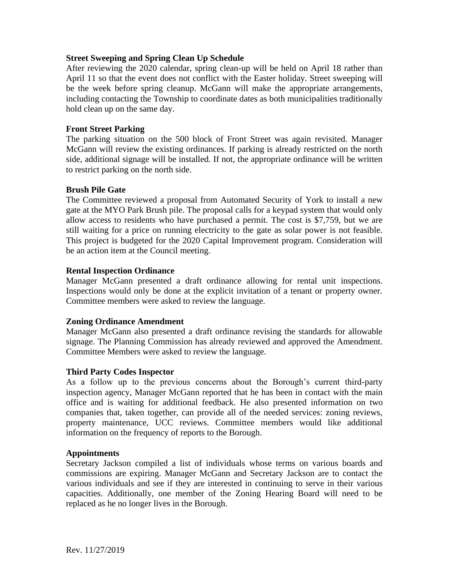# **Street Sweeping and Spring Clean Up Schedule**

After reviewing the 2020 calendar, spring clean-up will be held on April 18 rather than April 11 so that the event does not conflict with the Easter holiday. Street sweeping will be the week before spring cleanup. McGann will make the appropriate arrangements, including contacting the Township to coordinate dates as both municipalities traditionally hold clean up on the same day.

### **Front Street Parking**

The parking situation on the 500 block of Front Street was again revisited. Manager McGann will review the existing ordinances. If parking is already restricted on the north side, additional signage will be installed. If not, the appropriate ordinance will be written to restrict parking on the north side.

### **Brush Pile Gate**

The Committee reviewed a proposal from Automated Security of York to install a new gate at the MYO Park Brush pile. The proposal calls for a keypad system that would only allow access to residents who have purchased a permit. The cost is \$7,759, but we are still waiting for a price on running electricity to the gate as solar power is not feasible. This project is budgeted for the 2020 Capital Improvement program. Consideration will be an action item at the Council meeting.

### **Rental Inspection Ordinance**

Manager McGann presented a draft ordinance allowing for rental unit inspections. Inspections would only be done at the explicit invitation of a tenant or property owner. Committee members were asked to review the language.

#### **Zoning Ordinance Amendment**

Manager McGann also presented a draft ordinance revising the standards for allowable signage. The Planning Commission has already reviewed and approved the Amendment. Committee Members were asked to review the language.

# **Third Party Codes Inspector**

As a follow up to the previous concerns about the Borough's current third-party inspection agency, Manager McGann reported that he has been in contact with the main office and is waiting for additional feedback. He also presented information on two companies that, taken together, can provide all of the needed services: zoning reviews, property maintenance, UCC reviews. Committee members would like additional information on the frequency of reports to the Borough.

#### **Appointments**

Secretary Jackson compiled a list of individuals whose terms on various boards and commissions are expiring. Manager McGann and Secretary Jackson are to contact the various individuals and see if they are interested in continuing to serve in their various capacities. Additionally, one member of the Zoning Hearing Board will need to be replaced as he no longer lives in the Borough.